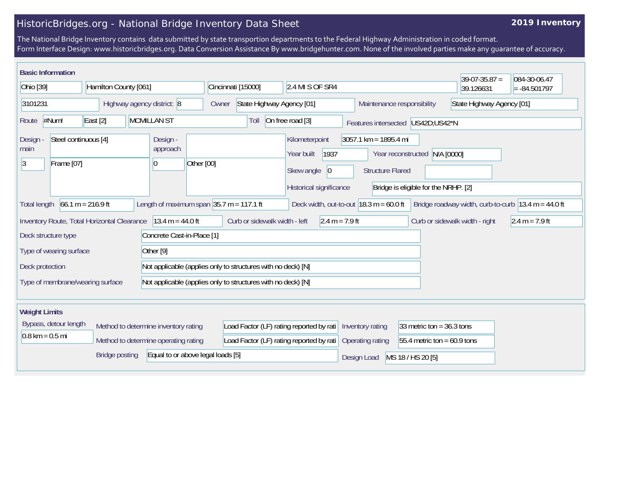## HistoricBridges.org - National Bridge Inventory Data Sheet

## **2019 Inventory**

The National Bridge Inventory contains data submitted by state transportion departments to the Federal Highway Administration in coded format. Form Interface Design: www.historicbridges.org. Data Conversion Assistance By www.bridgehunter.com. None of the involved parties make any guarantee of accuracy.

| <b>Basic Information</b>                                                                                                                                                                                                                          |                         |                                                              |                                                   |                                                                                              |                                                    |                                                                       | $39-07-35.87 =$                | 084-30-06.47     |  |
|---------------------------------------------------------------------------------------------------------------------------------------------------------------------------------------------------------------------------------------------------|-------------------------|--------------------------------------------------------------|---------------------------------------------------|----------------------------------------------------------------------------------------------|----------------------------------------------------|-----------------------------------------------------------------------|--------------------------------|------------------|--|
| Ohio [39]<br>Hamilton County [061]                                                                                                                                                                                                                |                         |                                                              | Cincinnati [15000]<br>2.4 MI S OF SR4             |                                                                                              |                                                    |                                                                       | 39.126631                      | $= -84.501797$   |  |
| 3101231<br>Highway agency district: 8                                                                                                                                                                                                             |                         |                                                              | State Highway Agency [01]<br>Owner                |                                                                                              | Maintenance responsibility                         |                                                                       | State Highway Agency [01]      |                  |  |
| #Num!<br>Route                                                                                                                                                                                                                                    | $\vert$ East $\vert$ 2] | <b>MCMILLAN ST</b>                                           | Toll                                              | On free road [3]                                                                             |                                                    | Features intersected US42D;US42*N                                     |                                |                  |  |
| Steel continuous [4]<br>Design<br>main<br> 3 <br>Frame [07]                                                                                                                                                                                       |                         | Design -<br>approach<br>Other [00]<br>$\overline{0}$         |                                                   | Kilometerpoint<br>1937<br>Year built<br>Skew angle<br>$ 0\rangle$<br>Historical significance | $3057.1$ km = 1895.4 mi<br><b>Structure Flared</b> | Year reconstructed N/A [0000]<br>Bridge is eligible for the NRHP. [2] |                                |                  |  |
| Length of maximum span $ 35.7 \text{ m} = 117.1 \text{ ft}$<br>$66.1 m = 216.9 ft$<br>Deck width, out-to-out $18.3 \text{ m} = 60.0 \text{ ft}$<br>Bridge roadway width, curb-to-curb $ 13.4 \text{ m} = 44.0 \text{ ft} $<br><b>Total length</b> |                         |                                                              |                                                   |                                                                                              |                                                    |                                                                       |                                |                  |  |
| Inventory Route, Total Horizontal Clearance                                                                                                                                                                                                       |                         | $13.4 m = 44.0 ft$                                           | Curb or sidewalk width - left<br>$2.4 m = 7.9 ft$ |                                                                                              |                                                    |                                                                       | Curb or sidewalk width - right | $2.4 m = 7.9 ft$ |  |
| Concrete Cast-in-Place [1]<br>Deck structure type                                                                                                                                                                                                 |                         |                                                              |                                                   |                                                                                              |                                                    |                                                                       |                                |                  |  |
| Type of wearing surface                                                                                                                                                                                                                           |                         | Other <sup>[9]</sup>                                         |                                                   |                                                                                              |                                                    |                                                                       |                                |                  |  |
| Deck protection                                                                                                                                                                                                                                   |                         | Not applicable (applies only to structures with no deck) [N] |                                                   |                                                                                              |                                                    |                                                                       |                                |                  |  |
| Type of membrane/wearing surface                                                                                                                                                                                                                  |                         | Not applicable (applies only to structures with no deck) [N] |                                                   |                                                                                              |                                                    |                                                                       |                                |                  |  |
| <b>Weight Limits</b>                                                                                                                                                                                                                              |                         |                                                              |                                                   |                                                                                              |                                                    |                                                                       |                                |                  |  |
| Bypass, detour length<br>Method to determine inventory rating                                                                                                                                                                                     |                         |                                                              |                                                   | Load Factor (LF) rating reported by rati   Inventory rating                                  |                                                    | 33 metric ton = $36.3$ tons                                           |                                |                  |  |
| $0.8 \text{ km} = 0.5 \text{ mi}$<br>Method to determine operating rating                                                                                                                                                                         |                         | Load Factor (LF) rating reported by rati                     |                                                   | Operating rating                                                                             | 55.4 metric ton = $60.9$ tons                      |                                                                       |                                |                  |  |
| Equal to or above legal loads [5]<br><b>Bridge posting</b>                                                                                                                                                                                        |                         |                                                              |                                                   |                                                                                              | Design Load                                        | MS 18 / HS 20 [5]                                                     |                                |                  |  |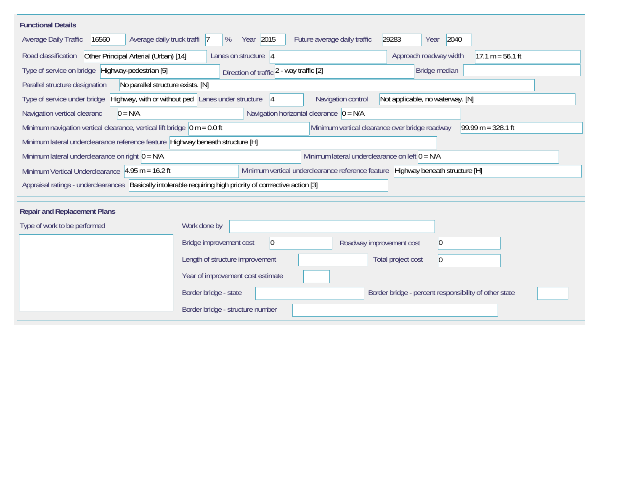| <b>Functional Details</b>                                                                                                                                  |                                                                                                                    |  |  |  |  |  |  |
|------------------------------------------------------------------------------------------------------------------------------------------------------------|--------------------------------------------------------------------------------------------------------------------|--|--|--|--|--|--|
| Average daily truck traffi 7<br>Average Daily Traffic<br>16560                                                                                             | Year 2015<br>2040<br>Future average daily traffic<br>29283<br>%<br>Year                                            |  |  |  |  |  |  |
| Other Principal Arterial (Urban) [14]<br>Road classification                                                                                               | Lanes on structure  4<br>Approach roadway width<br>$17.1 m = 56.1 ft$                                              |  |  |  |  |  |  |
| Type of service on bridge Highway-pedestrian [5]<br>Bridge median<br>Direction of traffic 2 - way traffic [2]                                              |                                                                                                                    |  |  |  |  |  |  |
| No parallel structure exists. [N]<br>Parallel structure designation                                                                                        |                                                                                                                    |  |  |  |  |  |  |
| Type of service under bridge                                                                                                                               | Highway, with or without ped Lanes under structure<br>Not applicable, no waterway. [N]<br>Navigation control<br> 4 |  |  |  |  |  |  |
| Navigation vertical clearanc<br>$0 = N/A$                                                                                                                  | Navigation horizontal clearance $ 0 = N/A $                                                                        |  |  |  |  |  |  |
| $99.99 m = 328.1 ft$<br>Minimum navigation vertical clearance, vertical lift bridge $\vert$ 0 m = 0.0 ft<br>Minimum vertical clearance over bridge roadway |                                                                                                                    |  |  |  |  |  |  |
| Minimum lateral underclearance reference feature Highway beneath structure [H]                                                                             |                                                                                                                    |  |  |  |  |  |  |
| Minimum lateral underclearance on left $0 = N/A$<br>Minimum lateral underclearance on right $0 = N/A$                                                      |                                                                                                                    |  |  |  |  |  |  |
| Minimum Vertical Underclearance $ 4.95 \text{ m} = 16.2 \text{ ft} $                                                                                       | Minimum vertical underclearance reference feature Highway beneath structure [H]                                    |  |  |  |  |  |  |
| Appraisal ratings - underclearances Basically intolerable requiring high priority of corrrective action [3]                                                |                                                                                                                    |  |  |  |  |  |  |
|                                                                                                                                                            |                                                                                                                    |  |  |  |  |  |  |
| <b>Repair and Replacement Plans</b>                                                                                                                        |                                                                                                                    |  |  |  |  |  |  |
| Type of work to be performed                                                                                                                               | Work done by                                                                                                       |  |  |  |  |  |  |
|                                                                                                                                                            | $ 0\rangle$<br>Bridge improvement cost<br> 0 <br>Roadway improvement cost                                          |  |  |  |  |  |  |
|                                                                                                                                                            | Length of structure improvement<br>Total project cost<br>$\Omega$                                                  |  |  |  |  |  |  |
|                                                                                                                                                            | Year of improvement cost estimate                                                                                  |  |  |  |  |  |  |
|                                                                                                                                                            | Border bridge - state<br>Border bridge - percent responsibility of other state                                     |  |  |  |  |  |  |
|                                                                                                                                                            | Border bridge - structure number                                                                                   |  |  |  |  |  |  |